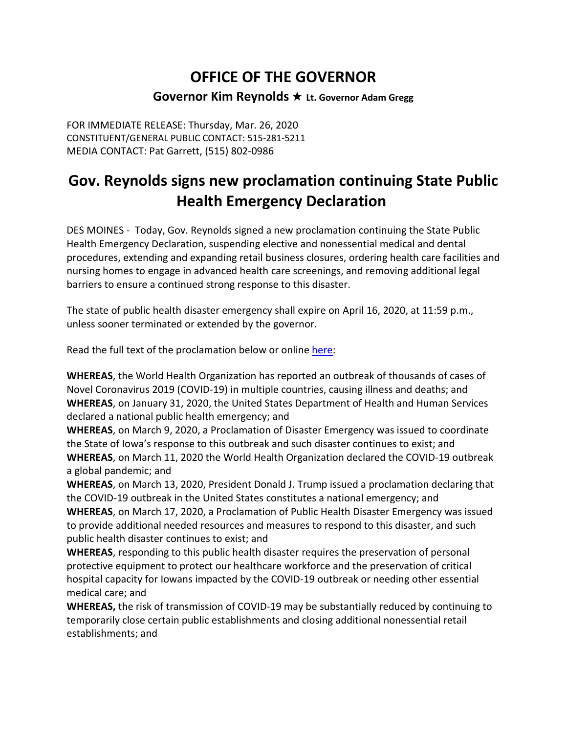## **OFFICE OF THE GOVERNOR Governor Kim Reynolds** ★ **Lt. Governor Adam Gregg**

FOR IMMEDIATE RELEASE: Thursday, Mar. 26, 2020 CONSTITUENT/GENERAL PUBLIC CONTACT: 515-281-5211 MEDIA CONTACT: Pat Garrett, (515) 802-0986

# **Gov. Reynolds signs new proclamation continuing State Public Health Emergency Declaration**

DES MOINES - Today, Gov. Reynolds signed a new proclamation continuing the State Public Health Emergency Declaration, suspending elective and nonessential medical and dental procedures, extending and expanding retail business closures, ordering health care facilities and nursing homes to engage in advanced health care screenings, and removing additional legal barriers to ensure a continued strong response to this disaster.

The state of public health disaster emergency shall expire on April 16, 2020, at 11:59 p.m., unless sooner terminated or extended by the governor.

Read the full text of the proclamation below or online [here:](https://lnks.gd/l/eyJhbGciOiJIUzI1NiJ9.eyJidWxsZXRpbl9saW5rX2lkIjoxMDAsInVyaSI6ImJwMjpjbGljayIsImJ1bGxldGluX2lkIjoiMjAyMDAzMjYuMTkzNjEwMTEiLCJ1cmwiOiJodHRwczovL2dvdmVybm9yLmlvd2EuZ292L3NpdGVzL2RlZmF1bHQvZmlsZXMvZG9jdW1lbnRzL1B1YmxpYyUyMEhlYWx0aCUyMFByb2NsYW1hdGlvbiUyMC0lMjAyMDIwLjAzLjI2LnBkZj91dG1fbWVkaXVtPWVtYWlsJnV0bV9zb3VyY2U9Z292ZGVsaXZlcnkifQ.4CPw1iBtOXn-vMr6hScFwZWYWolQ_MddBQmSezfxxMY/br/76681271575-l)

**WHEREAS**, the World Health Organization has reported an outbreak of thousands of cases of Novel Coronavirus 2019 (COVID-19) in multiple countries, causing illness and deaths; and **WHEREAS**, on January 31, 2020, the United States Department of Health and Human Services declared a national public health emergency; and

**WHEREAS**, on March 9, 2020, a Proclamation of Disaster Emergency was issued to coordinate the State of Iowa's response to this outbreak and such disaster continues to exist; and **WHEREAS**, on March 11, 2020 the World Health Organization declared the COVID-19 outbreak a global pandemic; and

**WHEREAS**, on March 13, 2020, President Donald J. Trump issued a proclamation declaring that the COVID-19 outbreak in the United States constitutes a national emergency; and

**WHEREAS**, on March 17, 2020, a Proclamation of Public Health Disaster Emergency was issued to provide additional needed resources and measures to respond to this disaster, and such public health disaster continues to exist; and

**WHEREAS**, responding to this public health disaster requires the preservation of personal protective equipment to protect our healthcare workforce and the preservation of critical hospital capacity for Iowans impacted by the COVID-19 outbreak or needing other essential medical care; and

**WHEREAS,** the risk of transmission of COVID-19 may be substantially reduced by continuing to temporarily close certain public establishments and closing additional nonessential retail establishments; and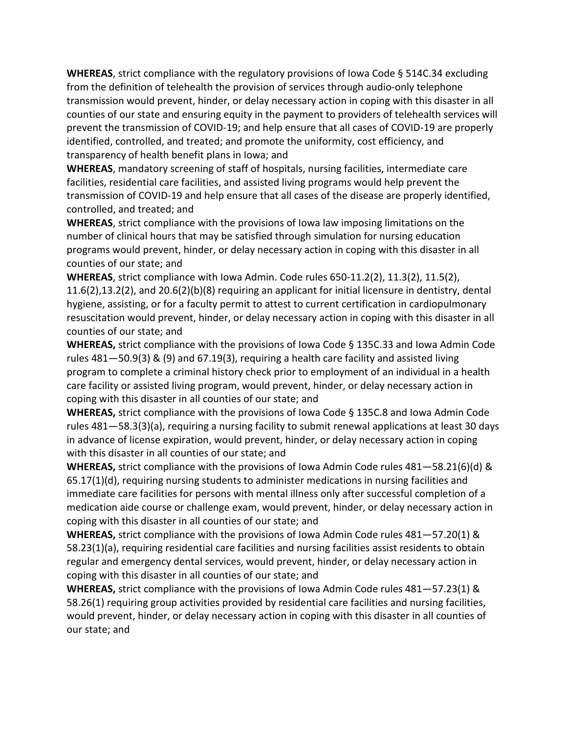**WHEREAS**, strict compliance with the regulatory provisions of Iowa Code § 514C.34 excluding from the definition of telehealth the provision of services through audio-only telephone transmission would prevent, hinder, or delay necessary action in coping with this disaster in all counties of our state and ensuring equity in the payment to providers of telehealth services will prevent the transmission of COVID-19; and help ensure that all cases of COVID-19 are properly identified, controlled, and treated; and promote the uniformity, cost efficiency, and transparency of health benefit plans in Iowa; and

**WHEREAS**, mandatory screening of staff of hospitals, nursing facilities, intermediate care facilities, residential care facilities, and assisted living programs would help prevent the transmission of COVID-19 and help ensure that all cases of the disease are properly identified, controlled, and treated; and

**WHEREAS**, strict compliance with the provisions of Iowa law imposing limitations on the number of clinical hours that may be satisfied through simulation for nursing education programs would prevent, hinder, or delay necessary action in coping with this disaster in all counties of our state; and

**WHEREAS**, strict compliance with Iowa Admin. Code rules 650-11.2(2), 11.3(2), 11.5(2), 11.6(2),13.2(2), and 20.6(2)(b)(8) requiring an applicant for initial licensure in dentistry, dental hygiene, assisting, or for a faculty permit to attest to current certification in cardiopulmonary resuscitation would prevent, hinder, or delay necessary action in coping with this disaster in all counties of our state; and

**WHEREAS,** strict compliance with the provisions of Iowa Code § 135C.33 and Iowa Admin Code rules 481—50.9(3) & (9) and 67.19(3), requiring a health care facility and assisted living program to complete a criminal history check prior to employment of an individual in a health care facility or assisted living program, would prevent, hinder, or delay necessary action in coping with this disaster in all counties of our state; and

**WHEREAS,** strict compliance with the provisions of Iowa Code § 135C.8 and Iowa Admin Code rules 481—58.3(3)(a), requiring a nursing facility to submit renewal applications at least 30 days in advance of license expiration, would prevent, hinder, or delay necessary action in coping with this disaster in all counties of our state; and

**WHEREAS,** strict compliance with the provisions of Iowa Admin Code rules 481—58.21(6)(d) & 65.17(1)(d), requiring nursing students to administer medications in nursing facilities and immediate care facilities for persons with mental illness only after successful completion of a medication aide course or challenge exam, would prevent, hinder, or delay necessary action in coping with this disaster in all counties of our state; and

**WHEREAS,** strict compliance with the provisions of Iowa Admin Code rules 481—57.20(1) & 58.23(1)(a), requiring residential care facilities and nursing facilities assist residents to obtain regular and emergency dental services, would prevent, hinder, or delay necessary action in coping with this disaster in all counties of our state; and

**WHEREAS,** strict compliance with the provisions of Iowa Admin Code rules 481—57.23(1) & 58.26(1) requiring group activities provided by residential care facilities and nursing facilities, would prevent, hinder, or delay necessary action in coping with this disaster in all counties of our state; and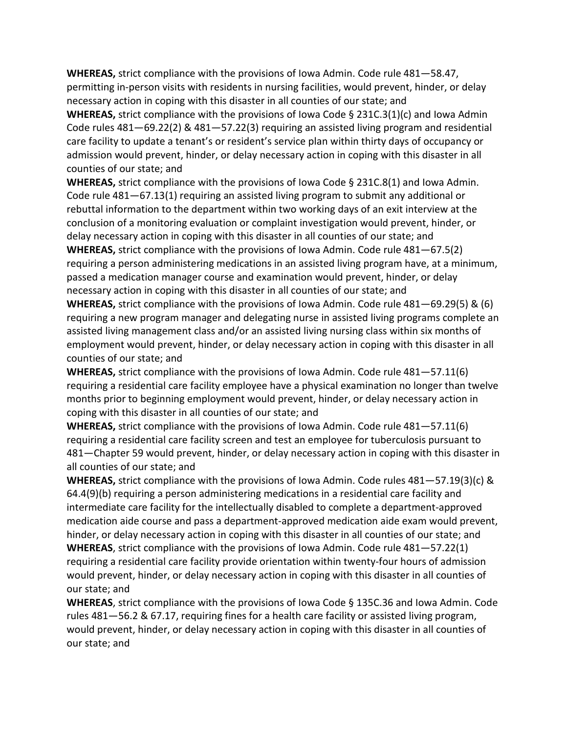**WHEREAS,** strict compliance with the provisions of Iowa Admin. Code rule 481—58.47, permitting in-person visits with residents in nursing facilities, would prevent, hinder, or delay necessary action in coping with this disaster in all counties of our state; and

**WHEREAS,** strict compliance with the provisions of Iowa Code § 231C.3(1)(c) and Iowa Admin Code rules 481—69.22(2) & 481—57.22(3) requiring an assisted living program and residential care facility to update a tenant's or resident's service plan within thirty days of occupancy or admission would prevent, hinder, or delay necessary action in coping with this disaster in all counties of our state; and

**WHEREAS,** strict compliance with the provisions of Iowa Code § 231C.8(1) and Iowa Admin. Code rule 481—67.13(1) requiring an assisted living program to submit any additional or rebuttal information to the department within two working days of an exit interview at the conclusion of a monitoring evaluation or complaint investigation would prevent, hinder, or delay necessary action in coping with this disaster in all counties of our state; and **WHEREAS,** strict compliance with the provisions of Iowa Admin. Code rule 481—67.5(2)

requiring a person administering medications in an assisted living program have, at a minimum, passed a medication manager course and examination would prevent, hinder, or delay necessary action in coping with this disaster in all counties of our state; and

**WHEREAS,** strict compliance with the provisions of Iowa Admin. Code rule 481—69.29(5) & (6) requiring a new program manager and delegating nurse in assisted living programs complete an assisted living management class and/or an assisted living nursing class within six months of employment would prevent, hinder, or delay necessary action in coping with this disaster in all counties of our state; and

**WHEREAS,** strict compliance with the provisions of Iowa Admin. Code rule 481—57.11(6) requiring a residential care facility employee have a physical examination no longer than twelve months prior to beginning employment would prevent, hinder, or delay necessary action in coping with this disaster in all counties of our state; and

**WHEREAS,** strict compliance with the provisions of Iowa Admin. Code rule 481—57.11(6) requiring a residential care facility screen and test an employee for tuberculosis pursuant to 481—Chapter 59 would prevent, hinder, or delay necessary action in coping with this disaster in all counties of our state; and

**WHEREAS,** strict compliance with the provisions of Iowa Admin. Code rules 481—57.19(3)(c) & 64.4(9)(b) requiring a person administering medications in a residential care facility and intermediate care facility for the intellectually disabled to complete a department-approved medication aide course and pass a department-approved medication aide exam would prevent, hinder, or delay necessary action in coping with this disaster in all counties of our state; and **WHEREAS**, strict compliance with the provisions of Iowa Admin. Code rule 481—57.22(1) requiring a residential care facility provide orientation within twenty-four hours of admission would prevent, hinder, or delay necessary action in coping with this disaster in all counties of our state; and

**WHEREAS**, strict compliance with the provisions of Iowa Code § 135C.36 and Iowa Admin. Code rules 481—56.2 & 67.17, requiring fines for a health care facility or assisted living program, would prevent, hinder, or delay necessary action in coping with this disaster in all counties of our state; and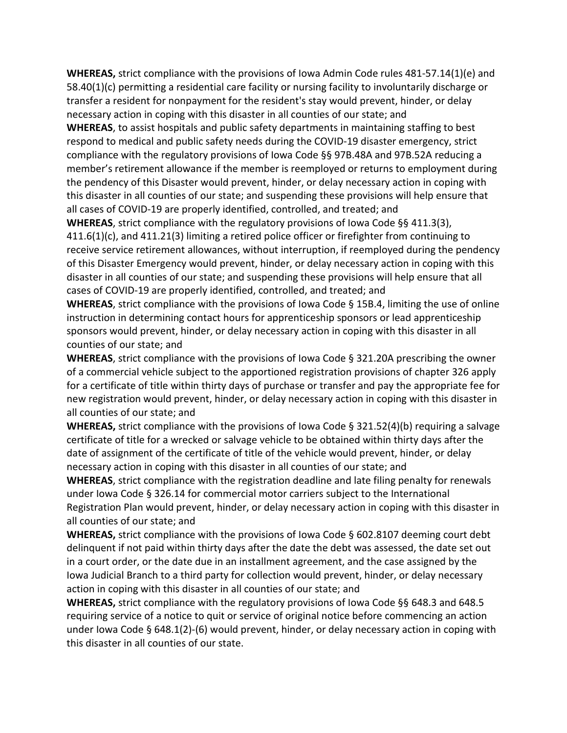**WHEREAS,** strict compliance with the provisions of Iowa Admin Code rules 481-57.14(1)(e) and 58.40(1)(c) permitting a residential care facility or nursing facility to involuntarily discharge or transfer a resident for nonpayment for the resident's stay would prevent, hinder, or delay necessary action in coping with this disaster in all counties of our state; and

**WHEREAS**, to assist hospitals and public safety departments in maintaining staffing to best respond to medical and public safety needs during the COVID-19 disaster emergency, strict compliance with the regulatory provisions of Iowa Code §§ 97B.48A and 97B.52A reducing a member's retirement allowance if the member is reemployed or returns to employment during the pendency of this Disaster would prevent, hinder, or delay necessary action in coping with this disaster in all counties of our state; and suspending these provisions will help ensure that all cases of COVID-19 are properly identified, controlled, and treated; and

**WHEREAS**, strict compliance with the regulatory provisions of Iowa Code §§ 411.3(3), 411.6(1)(c), and 411.21(3) limiting a retired police officer or firefighter from continuing to receive service retirement allowances, without interruption, if reemployed during the pendency of this Disaster Emergency would prevent, hinder, or delay necessary action in coping with this disaster in all counties of our state; and suspending these provisions will help ensure that all cases of COVID-19 are properly identified, controlled, and treated; and

**WHEREAS**, strict compliance with the provisions of Iowa Code § 15B.4, limiting the use of online instruction in determining contact hours for apprenticeship sponsors or lead apprenticeship sponsors would prevent, hinder, or delay necessary action in coping with this disaster in all counties of our state; and

**WHEREAS**, strict compliance with the provisions of Iowa Code § 321.20A prescribing the owner of a commercial vehicle subject to the apportioned registration provisions of chapter 326 apply for a certificate of title within thirty days of purchase or transfer and pay the appropriate fee for new registration would prevent, hinder, or delay necessary action in coping with this disaster in all counties of our state; and

**WHEREAS,** strict compliance with the provisions of Iowa Code § 321.52(4)(b) requiring a salvage certificate of title for a wrecked or salvage vehicle to be obtained within thirty days after the date of assignment of the certificate of title of the vehicle would prevent, hinder, or delay necessary action in coping with this disaster in all counties of our state; and

**WHEREAS**, strict compliance with the registration deadline and late filing penalty for renewals under Iowa Code § 326.14 for commercial motor carriers subject to the International Registration Plan would prevent, hinder, or delay necessary action in coping with this disaster in all counties of our state; and

**WHEREAS,** strict compliance with the provisions of Iowa Code § 602.8107 deeming court debt delinquent if not paid within thirty days after the date the debt was assessed, the date set out in a court order, or the date due in an installment agreement, and the case assigned by the Iowa Judicial Branch to a third party for collection would prevent, hinder, or delay necessary action in coping with this disaster in all counties of our state; and

**WHEREAS,** strict compliance with the regulatory provisions of Iowa Code §§ 648.3 and 648.5 requiring service of a notice to quit or service of original notice before commencing an action under Iowa Code § 648.1(2)-(6) would prevent, hinder, or delay necessary action in coping with this disaster in all counties of our state.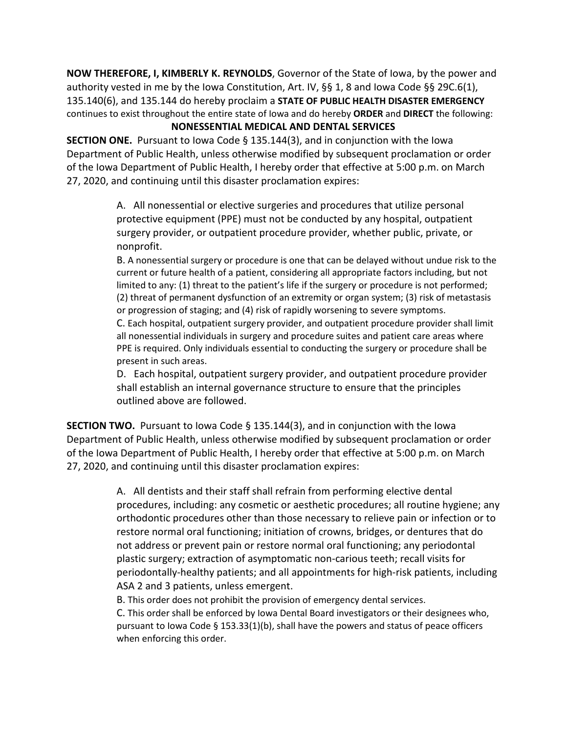**NOW THEREFORE, I, KIMBERLY K. REYNOLDS**, Governor of the State of Iowa, by the power and authority vested in me by the Iowa Constitution, Art. IV, §§ 1, 8 and Iowa Code §§ 29C.6(1), 135.140(6), and 135.144 do hereby proclaim a **STATE OF PUBLIC HEALTH DISASTER EMERGENCY** continues to exist throughout the entire state of Iowa and do hereby **ORDER** and **DIRECT** the following:

#### **NONESSENTIAL MEDICAL AND DENTAL SERVICES**

**SECTION ONE.** Pursuant to Iowa Code § 135.144(3), and in conjunction with the Iowa Department of Public Health, unless otherwise modified by subsequent proclamation or order of the Iowa Department of Public Health, I hereby order that effective at 5:00 p.m. on March 27, 2020, and continuing until this disaster proclamation expires:

> A. All nonessential or elective surgeries and procedures that utilize personal protective equipment (PPE) must not be conducted by any hospital, outpatient surgery provider, or outpatient procedure provider, whether public, private, or nonprofit.

B. A nonessential surgery or procedure is one that can be delayed without undue risk to the current or future health of a patient, considering all appropriate factors including, but not limited to any: (1) threat to the patient's life if the surgery or procedure is not performed; (2) threat of permanent dysfunction of an extremity or organ system; (3) risk of metastasis or progression of staging; and (4) risk of rapidly worsening to severe symptoms.

C. Each hospital, outpatient surgery provider, and outpatient procedure provider shall limit all nonessential individuals in surgery and procedure suites and patient care areas where PPE is required. Only individuals essential to conducting the surgery or procedure shall be present in such areas.

D. Each hospital, outpatient surgery provider, and outpatient procedure provider shall establish an internal governance structure to ensure that the principles outlined above are followed.

**SECTION TWO.** Pursuant to Iowa Code § 135.144(3), and in conjunction with the Iowa Department of Public Health, unless otherwise modified by subsequent proclamation or order of the Iowa Department of Public Health, I hereby order that effective at 5:00 p.m. on March 27, 2020, and continuing until this disaster proclamation expires:

> A. All dentists and their staff shall refrain from performing elective dental procedures, including: any cosmetic or aesthetic procedures; all routine hygiene; any orthodontic procedures other than those necessary to relieve pain or infection or to restore normal oral functioning; initiation of crowns, bridges, or dentures that do not address or prevent pain or restore normal oral functioning; any periodontal plastic surgery; extraction of asymptomatic non-carious teeth; recall visits for periodontally-healthy patients; and all appointments for high-risk patients, including ASA 2 and 3 patients, unless emergent.

B. This order does not prohibit the provision of emergency dental services.

C. This order shall be enforced by Iowa Dental Board investigators or their designees who, pursuant to Iowa Code § 153.33(1)(b), shall have the powers and status of peace officers when enforcing this order.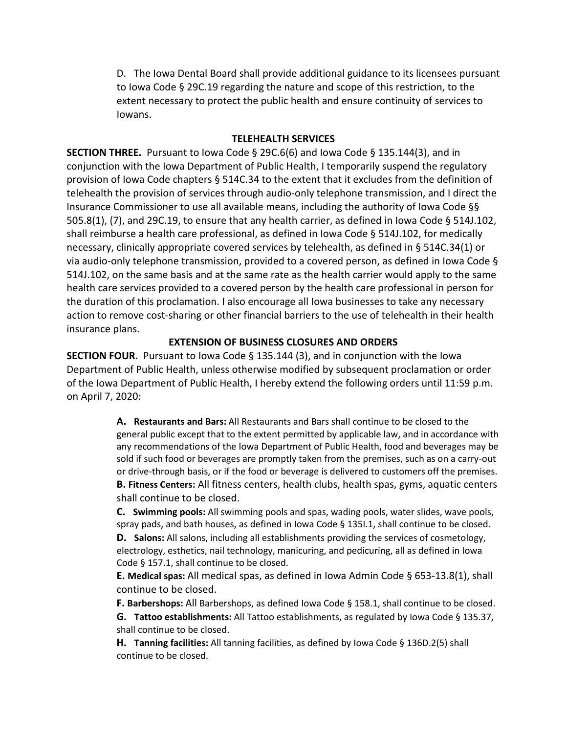D. The Iowa Dental Board shall provide additional guidance to its licensees pursuant to Iowa Code § 29C.19 regarding the nature and scope of this restriction, to the extent necessary to protect the public health and ensure continuity of services to Iowans.

#### **TELEHEALTH SERVICES**

**SECTION THREE.** Pursuant to Iowa Code § 29C.6(6) and Iowa Code § 135.144(3), and in conjunction with the Iowa Department of Public Health, I temporarily suspend the regulatory provision of Iowa Code chapters § 514C.34 to the extent that it excludes from the definition of telehealth the provision of services through audio-only telephone transmission, and I direct the Insurance Commissioner to use all available means, including the authority of Iowa Code §§ 505.8(1), (7), and 29C.19, to ensure that any health carrier, as defined in Iowa Code § 514J.102, shall reimburse a health care professional, as defined in Iowa Code § 514J.102, for medically necessary, clinically appropriate covered services by telehealth, as defined in § 514C.34(1) or via audio-only telephone transmission, provided to a covered person, as defined in Iowa Code § 514J.102, on the same basis and at the same rate as the health carrier would apply to the same health care services provided to a covered person by the health care professional in person for the duration of this proclamation. I also encourage all Iowa businesses to take any necessary action to remove cost-sharing or other financial barriers to the use of telehealth in their health insurance plans.

#### **EXTENSION OF BUSINESS CLOSURES AND ORDERS**

**SECTION FOUR.** Pursuant to Iowa Code § 135.144 (3), and in conjunction with the Iowa Department of Public Health, unless otherwise modified by subsequent proclamation or order of the Iowa Department of Public Health, I hereby extend the following orders until 11:59 p.m. on April 7, 2020:

> **A. Restaurants and Bars:** All Restaurants and Bars shall continue to be closed to the general public except that to the extent permitted by applicable law, and in accordance with any recommendations of the Iowa Department of Public Health, food and beverages may be sold if such food or beverages are promptly taken from the premises, such as on a carry-out or drive-through basis, or if the food or beverage is delivered to customers off the premises. **B. Fitness Centers:** All fitness centers, health clubs, health spas, gyms, aquatic centers shall continue to be closed.

**C. Swimming pools:** All swimming pools and spas, wading pools, water slides, wave pools, spray pads, and bath houses, as defined in Iowa Code § 135I.1, shall continue to be closed.

**D. Salons:** All salons, including all establishments providing the services of cosmetology, electrology, esthetics, nail technology, manicuring, and pedicuring, all as defined in Iowa Code § 157.1, shall continue to be closed.

**E. Medical spas:** All medical spas, as defined in Iowa Admin Code § 653-13.8(1), shall continue to be closed.

**F. Barbershops:** All Barbershops, as defined Iowa Code § 158.1, shall continue to be closed.

**G. Tattoo establishments:** All Tattoo establishments, as regulated by Iowa Code § 135.37, shall continue to be closed.

**H. Tanning facilities:** All tanning facilities, as defined by Iowa Code § 136D.2(5) shall continue to be closed.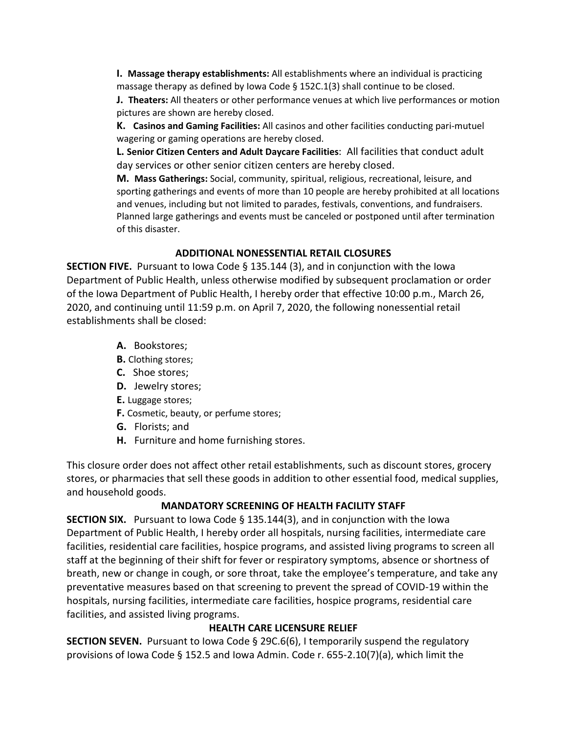**I. Massage therapy establishments:** All establishments where an individual is practicing massage therapy as defined by Iowa Code § 152C.1(3) shall continue to be closed.

**J. Theaters:** All theaters or other performance venues at which live performances or motion pictures are shown are hereby closed.

**K. Casinos and Gaming Facilities:** All casinos and other facilities conducting pari-mutuel wagering or gaming operations are hereby closed.

**L. Senior Citizen Centers and Adult Daycare Facilities**: All facilities that conduct adult day services or other senior citizen centers are hereby closed.

**M. Mass Gatherings:** Social, community, spiritual, religious, recreational, leisure, and sporting gatherings and events of more than 10 people are hereby prohibited at all locations and venues, including but not limited to parades, festivals, conventions, and fundraisers. Planned large gatherings and events must be canceled or postponed until after termination of this disaster.

#### **ADDITIONAL NONESSENTIAL RETAIL CLOSURES**

**SECTION FIVE.** Pursuant to Iowa Code § 135.144 (3), and in conjunction with the Iowa Department of Public Health, unless otherwise modified by subsequent proclamation or order of the Iowa Department of Public Health, I hereby order that effective 10:00 p.m., March 26, 2020, and continuing until 11:59 p.m. on April 7, 2020, the following nonessential retail establishments shall be closed:

- **A.** Bookstores;
- **B.** Clothing stores;
- **C.** Shoe stores;
- **D.** Jewelry stores;
- **E.** Luggage stores;
- **F.** Cosmetic, beauty, or perfume stores;
- **G.** Florists; and
- **H.** Furniture and home furnishing stores.

This closure order does not affect other retail establishments, such as discount stores, grocery stores, or pharmacies that sell these goods in addition to other essential food, medical supplies, and household goods.

## **MANDATORY SCREENING OF HEALTH FACILITY STAFF**

**SECTION SIX.** Pursuant to Iowa Code § 135.144(3), and in conjunction with the Iowa Department of Public Health, I hereby order all hospitals, nursing facilities, intermediate care facilities, residential care facilities, hospice programs, and assisted living programs to screen all staff at the beginning of their shift for fever or respiratory symptoms, absence or shortness of breath, new or change in cough, or sore throat, take the employee's temperature, and take any preventative measures based on that screening to prevent the spread of COVID-19 within the hospitals, nursing facilities, intermediate care facilities, hospice programs, residential care facilities, and assisted living programs.

## **HEALTH CARE LICENSURE RELIEF**

**SECTION SEVEN.** Pursuant to Iowa Code § 29C.6(6), I temporarily suspend the regulatory provisions of Iowa Code § 152.5 and Iowa Admin. Code r. 655-2.10(7)(a), which limit the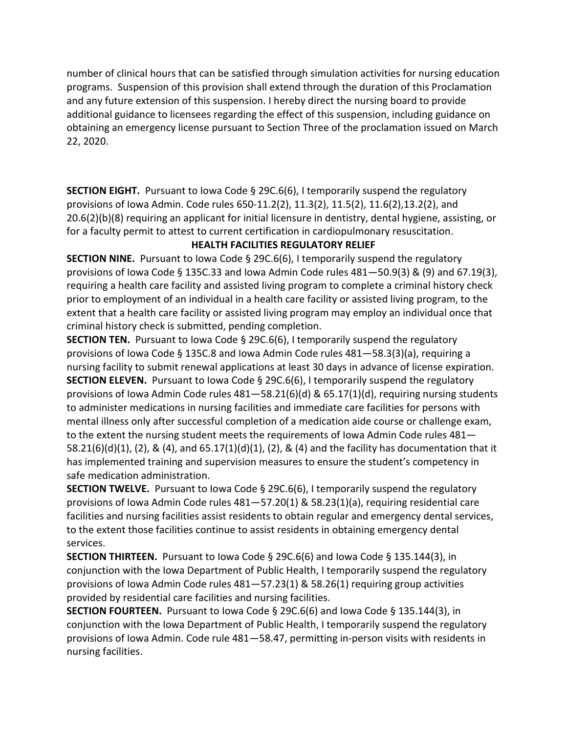number of clinical hours that can be satisfied through simulation activities for nursing education programs. Suspension of this provision shall extend through the duration of this Proclamation and any future extension of this suspension. I hereby direct the nursing board to provide additional guidance to licensees regarding the effect of this suspension, including guidance on obtaining an emergency license pursuant to Section Three of the proclamation issued on March 22, 2020.

**SECTION EIGHT.** Pursuant to Iowa Code § 29C.6(6), I temporarily suspend the regulatory provisions of Iowa Admin. Code rules 650-11.2(2), 11.3(2), 11.5(2), 11.6(2),13.2(2), and 20.6(2)(b)(8) requiring an applicant for initial licensure in dentistry, dental hygiene, assisting, or for a faculty permit to attest to current certification in cardiopulmonary resuscitation.

## **HEALTH FACILITIES REGULATORY RELIEF**

**SECTION NINE.** Pursuant to Iowa Code § 29C.6(6), I temporarily suspend the regulatory provisions of Iowa Code § 135C.33 and Iowa Admin Code rules 481—50.9(3) & (9) and 67.19(3), requiring a health care facility and assisted living program to complete a criminal history check prior to employment of an individual in a health care facility or assisted living program, to the extent that a health care facility or assisted living program may employ an individual once that criminal history check is submitted, pending completion.

**SECTION TEN.** Pursuant to Iowa Code § 29C.6(6), I temporarily suspend the regulatory provisions of Iowa Code § 135C.8 and Iowa Admin Code rules 481—58.3(3)(a), requiring a nursing facility to submit renewal applications at least 30 days in advance of license expiration. **SECTION ELEVEN.** Pursuant to Iowa Code § 29C.6(6), I temporarily suspend the regulatory provisions of Iowa Admin Code rules 481—58.21(6)(d) & 65.17(1)(d), requiring nursing students to administer medications in nursing facilities and immediate care facilities for persons with mental illness only after successful completion of a medication aide course or challenge exam, to the extent the nursing student meets the requirements of Iowa Admin Code rules 481— 58.21(6)(d)(1), (2), & (4), and 65.17(1)(d)(1), (2), & (4) and the facility has documentation that it has implemented training and supervision measures to ensure the student's competency in safe medication administration.

**SECTION TWELVE.** Pursuant to Iowa Code § 29C.6(6), I temporarily suspend the regulatory provisions of Iowa Admin Code rules 481—57.20(1) & 58.23(1)(a), requiring residential care facilities and nursing facilities assist residents to obtain regular and emergency dental services, to the extent those facilities continue to assist residents in obtaining emergency dental services.

**SECTION THIRTEEN.** Pursuant to Iowa Code § 29C.6(6) and Iowa Code § 135.144(3), in conjunction with the Iowa Department of Public Health, I temporarily suspend the regulatory provisions of Iowa Admin Code rules 481—57.23(1) & 58.26(1) requiring group activities provided by residential care facilities and nursing facilities.

**SECTION FOURTEEN.** Pursuant to Iowa Code § 29C.6(6) and Iowa Code § 135.144(3), in conjunction with the Iowa Department of Public Health, I temporarily suspend the regulatory provisions of Iowa Admin. Code rule 481—58.47, permitting in-person visits with residents in nursing facilities.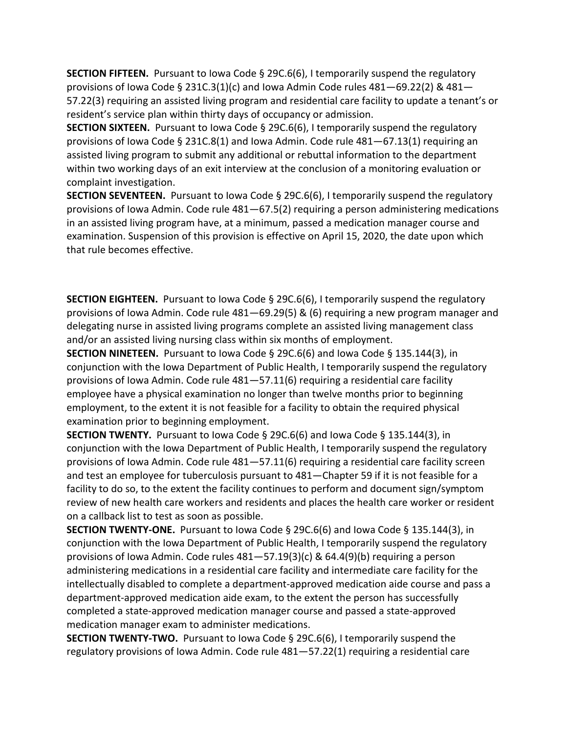**SECTION FIFTEEN.** Pursuant to Iowa Code § 29C.6(6), I temporarily suspend the regulatory provisions of Iowa Code § 231C.3(1)(c) and Iowa Admin Code rules  $481 - 69.22(2)$  &  $481 -$ 57.22(3) requiring an assisted living program and residential care facility to update a tenant's or resident's service plan within thirty days of occupancy or admission.

**SECTION SIXTEEN.** Pursuant to Iowa Code § 29C.6(6), I temporarily suspend the regulatory provisions of Iowa Code § 231C.8(1) and Iowa Admin. Code rule 481—67.13(1) requiring an assisted living program to submit any additional or rebuttal information to the department within two working days of an exit interview at the conclusion of a monitoring evaluation or complaint investigation.

**SECTION SEVENTEEN.** Pursuant to Iowa Code § 29C.6(6), I temporarily suspend the regulatory provisions of Iowa Admin. Code rule 481—67.5(2) requiring a person administering medications in an assisted living program have, at a minimum, passed a medication manager course and examination. Suspension of this provision is effective on April 15, 2020, the date upon which that rule becomes effective.

**SECTION EIGHTEEN.** Pursuant to Iowa Code § 29C.6(6), I temporarily suspend the regulatory provisions of Iowa Admin. Code rule 481—69.29(5) & (6) requiring a new program manager and delegating nurse in assisted living programs complete an assisted living management class and/or an assisted living nursing class within six months of employment.

**SECTION NINETEEN.** Pursuant to Iowa Code § 29C.6(6) and Iowa Code § 135.144(3), in conjunction with the Iowa Department of Public Health, I temporarily suspend the regulatory provisions of Iowa Admin. Code rule 481—57.11(6) requiring a residential care facility employee have a physical examination no longer than twelve months prior to beginning employment, to the extent it is not feasible for a facility to obtain the required physical examination prior to beginning employment.

**SECTION TWENTY.** Pursuant to Iowa Code § 29C.6(6) and Iowa Code § 135.144(3), in conjunction with the Iowa Department of Public Health, I temporarily suspend the regulatory provisions of Iowa Admin. Code rule 481—57.11(6) requiring a residential care facility screen and test an employee for tuberculosis pursuant to 481—Chapter 59 if it is not feasible for a facility to do so, to the extent the facility continues to perform and document sign/symptom review of new health care workers and residents and places the health care worker or resident on a callback list to test as soon as possible.

**SECTION TWENTY-ONE.** Pursuant to Iowa Code § 29C.6(6) and Iowa Code § 135.144(3), in conjunction with the Iowa Department of Public Health, I temporarily suspend the regulatory provisions of Iowa Admin. Code rules 481—57.19(3)(c) & 64.4(9)(b) requiring a person administering medications in a residential care facility and intermediate care facility for the intellectually disabled to complete a department-approved medication aide course and pass a department-approved medication aide exam, to the extent the person has successfully completed a state-approved medication manager course and passed a state-approved medication manager exam to administer medications.

**SECTION TWENTY-TWO.** Pursuant to Iowa Code § 29C.6(6), I temporarily suspend the regulatory provisions of Iowa Admin. Code rule 481—57.22(1) requiring a residential care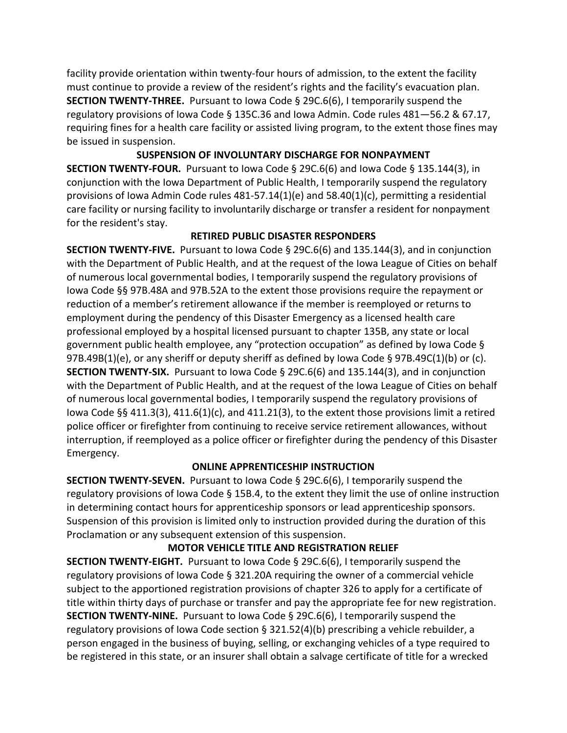facility provide orientation within twenty-four hours of admission, to the extent the facility must continue to provide a review of the resident's rights and the facility's evacuation plan. **SECTION TWENTY-THREE.** Pursuant to Iowa Code § 29C.6(6), I temporarily suspend the regulatory provisions of Iowa Code § 135C.36 and Iowa Admin. Code rules 481—56.2 & 67.17, requiring fines for a health care facility or assisted living program, to the extent those fines may be issued in suspension.

**SUSPENSION OF INVOLUNTARY DISCHARGE FOR NONPAYMENT SECTION TWENTY-FOUR.** Pursuant to Iowa Code § 29C.6(6) and Iowa Code § 135.144(3), in conjunction with the Iowa Department of Public Health, I temporarily suspend the regulatory provisions of Iowa Admin Code rules 481-57.14(1)(e) and 58.40(1)(c), permitting a residential care facility or nursing facility to involuntarily discharge or transfer a resident for nonpayment for the resident's stay.

## **RETIRED PUBLIC DISASTER RESPONDERS**

**SECTION TWENTY-FIVE.** Pursuant to Iowa Code § 29C.6(6) and 135.144(3), and in conjunction with the Department of Public Health, and at the request of the Iowa League of Cities on behalf of numerous local governmental bodies, I temporarily suspend the regulatory provisions of Iowa Code §§ 97B.48A and 97B.52A to the extent those provisions require the repayment or reduction of a member's retirement allowance if the member is reemployed or returns to employment during the pendency of this Disaster Emergency as a licensed health care professional employed by a hospital licensed pursuant to chapter 135B, any state or local government public health employee, any "protection occupation" as defined by Iowa Code § 97B.49B(1)(e), or any sheriff or deputy sheriff as defined by Iowa Code § 97B.49C(1)(b) or (c). **SECTION TWENTY-SIX.** Pursuant to Iowa Code § 29C.6(6) and 135.144(3), and in conjunction with the Department of Public Health, and at the request of the Iowa League of Cities on behalf of numerous local governmental bodies, I temporarily suspend the regulatory provisions of lowa Code §§ 411.3(3), 411.6(1)(c), and 411.21(3), to the extent those provisions limit a retired police officer or firefighter from continuing to receive service retirement allowances, without interruption, if reemployed as a police officer or firefighter during the pendency of this Disaster Emergency.

## **ONLINE APPRENTICESHIP INSTRUCTION**

**SECTION TWENTY-SEVEN.** Pursuant to Iowa Code § 29C.6(6), I temporarily suspend the regulatory provisions of Iowa Code § 15B.4, to the extent they limit the use of online instruction in determining contact hours for apprenticeship sponsors or lead apprenticeship sponsors. Suspension of this provision is limited only to instruction provided during the duration of this Proclamation or any subsequent extension of this suspension.

## **MOTOR VEHICLE TITLE AND REGISTRATION RELIEF**

**SECTION TWENTY-EIGHT.** Pursuant to Iowa Code § 29C.6(6), I temporarily suspend the regulatory provisions of Iowa Code § 321.20A requiring the owner of a commercial vehicle subject to the apportioned registration provisions of chapter 326 to apply for a certificate of title within thirty days of purchase or transfer and pay the appropriate fee for new registration. **SECTION TWENTY-NINE.** Pursuant to Iowa Code § 29C.6(6), I temporarily suspend the regulatory provisions of Iowa Code section § 321.52(4)(b) prescribing a vehicle rebuilder, a person engaged in the business of buying, selling, or exchanging vehicles of a type required to be registered in this state, or an insurer shall obtain a salvage certificate of title for a wrecked